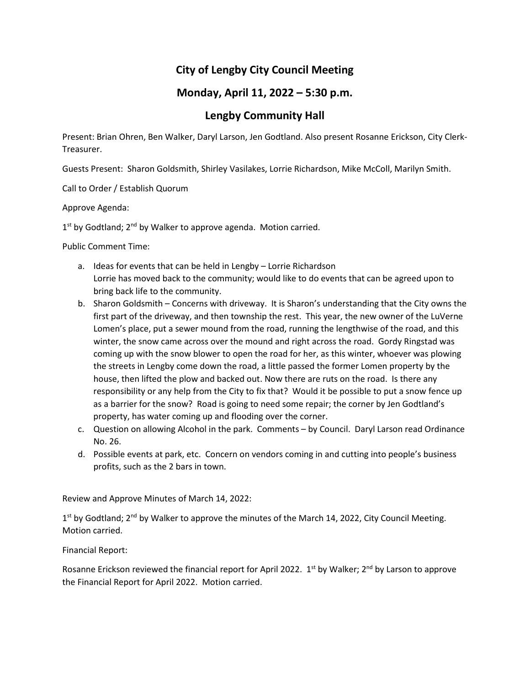## **City of Lengby City Council Meeting**

## **Monday, April 11, 2022 – 5:30 p.m.**

## **Lengby Community Hall**

Present: Brian Ohren, Ben Walker, Daryl Larson, Jen Godtland. Also present Rosanne Erickson, City Clerk-Treasurer.

Guests Present: Sharon Goldsmith, Shirley Vasilakes, Lorrie Richardson, Mike McColl, Marilyn Smith.

Call to Order / Establish Quorum

Approve Agenda:

1<sup>st</sup> by Godtland; 2<sup>nd</sup> by Walker to approve agenda. Motion carried.

Public Comment Time:

- a. Ideas for events that can be held in Lengby Lorrie Richardson Lorrie has moved back to the community; would like to do events that can be agreed upon to bring back life to the community.
- b. Sharon Goldsmith Concerns with driveway. It is Sharon's understanding that the City owns the first part of the driveway, and then township the rest. This year, the new owner of the LuVerne Lomen's place, put a sewer mound from the road, running the lengthwise of the road, and this winter, the snow came across over the mound and right across the road. Gordy Ringstad was coming up with the snow blower to open the road for her, as this winter, whoever was plowing the streets in Lengby come down the road, a little passed the former Lomen property by the house, then lifted the plow and backed out. Now there are ruts on the road. Is there any responsibility or any help from the City to fix that? Would it be possible to put a snow fence up as a barrier for the snow? Road is going to need some repair; the corner by Jen Godtland's property, has water coming up and flooding over the corner.
- c. Question on allowing Alcohol in the park. Comments by Council. Daryl Larson read Ordinance No. 26.
- d. Possible events at park, etc. Concern on vendors coming in and cutting into people's business profits, such as the 2 bars in town.

Review and Approve Minutes of March 14, 2022:

 $1^{st}$  by Godtland;  $2^{nd}$  by Walker to approve the minutes of the March 14, 2022, City Council Meeting. Motion carried.

Financial Report:

Rosanne Erickson reviewed the financial report for April 2022. 1<sup>st</sup> by Walker; 2<sup>nd</sup> by Larson to approve the Financial Report for April 2022. Motion carried.